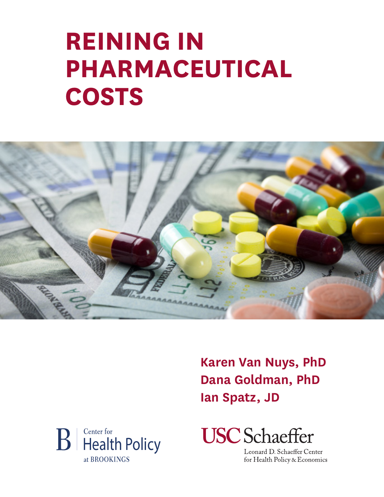# **REINING IN PHARMACEUTICAL COSTS**



**Karen Van Nuys, PhD Dana Goldman, PhD Ian Spatz, JD**





Leonard D. Schaeffer Center for Health Policy & Economics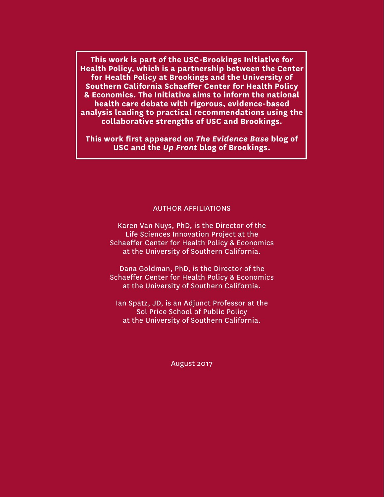**This work is part of the USC-Brookings Initiative for Health Policy, which is a partnership between the Center for Health Policy at Brookings and the University of Southern California Schaeffer Center for Health Policy & Economics. The Initiative aims to inform the national health care debate with rigorous, evidence-based analysis leading to practical recommendations using the collaborative strengths of USC and Brookings.**

**This work first appeared on** *The Evidence Base* **blog of USC and the** *Up Front* **blog of Brookings.**

#### AUTHOR AFFILIATIONS

Karen Van Nuys, PhD, is the Director of the Life Sciences Innovation Project at the Schaeffer Center for Health Policy & Economics at the University of Southern California.

Dana Goldman, PhD, is the Director of the Schaeffer Center for Health Policy & Economics at the University of Southern California.

Ian Spatz, JD, is an Adjunct Professor at the Sol Price School of Public Policy at the University of Southern California.

August 2017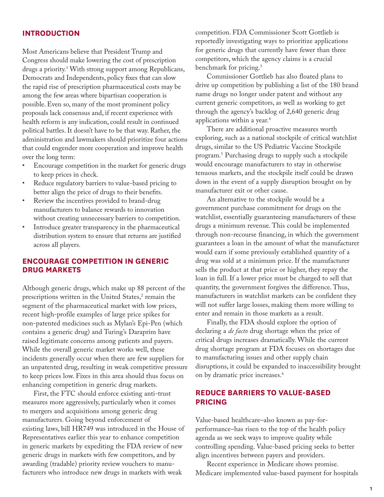#### **INTRODUCTION**

Most Americans believe that President Trump and Congress should make lowering the cost of prescription drugs a priority.1 With strong support among Republicans, Democrats and Independents, policy fixes that can slow the rapid rise of prescription pharmaceutical costs may be among the few areas where bipartisan cooperation is possible. Even so, many of the most prominent policy proposals lack consensus and, if recent experience with health reform is any indication, could result in continued political battles. It doesn't have to be that way. Rather, the administration and lawmakers should prioritize four actions that could engender more cooperation and improve health over the long term:

- Encourage competition in the market for generic drugs to keep prices in check.
- Reduce regulatory barriers to value-based pricing to better align the price of drugs to their benefits.
- Review the incentives provided to brand-drug manufacturers to balance rewards to innovation without creating unnecessary barriers to competition.
- Introduce greater transparency in the pharmaceutical distribution system to ensure that returns are justified across all players.

#### **ENCOURAGE COMPETITION IN GENERIC DRUG MARKETS**

Although generic drugs, which make up 88 percent of the prescriptions written in the United States,<sup>2</sup> remain the segment of the pharmaceutical market with low prices, recent high-profile examples of large price spikes for non-patented medicines such as Mylan's Epi-Pen (which contains a generic drug) and Turing's Daraprim have raised legitimate concerns among patients and payers. While the overall generic market works well, these incidents generally occur when there are few suppliers for an unpatented drug, resulting in weak competitive pressure to keep prices low. Fixes in this area should thus focus on enhancing competition in generic drug markets.

First, the FTC should enforce existing anti-trust measures more aggressively, particularly when it comes to mergers and acquisitions among generic drug manufacturers. Going beyond enforcement of existing laws, bill HR749 was introduced in the House of Representatives earlier this year to enhance competition in generic markets by expediting the FDA review of new generic drugs in markets with few competitors, and by awarding (tradable) priority review vouchers to manufacturers who introduce new drugs in markets with weak

competition. FDA Commissioner Scott Gottlieb is reportedly investigating ways to prioritize applications for generic drugs that currently have fewer than three competitors, which the agency claims is a crucial benchmark for pricing.3

Commissioner Gottlieb has also floated plans to drive up competition by publishing a list of the 180 brand name drugs no longer under patent and without any current generic competitors, as well as working to get through the agency's backlog of 2,640 generic drug applications within a year.4

There are additional proactive measures worth exploring, such as a national stockpile of critical watchlist drugs, similar to the US Pediatric Vaccine Stockpile program.5 Purchasing drugs to supply such a stockpile would encourage manufacturers to stay in otherwise tenuous markets, and the stockpile itself could be drawn down in the event of a supply disruption brought on by manufacturer exit or other cause.

An alternative to the stockpile would be a government purchase commitment for drugs on the watchlist, essentially guaranteeing manufacturers of these drugs a minimum revenue. This could be implemented through non-recourse financing, in which the government guarantees a loan in the amount of what the manufacturer would earn if some previously established quantity of a drug was sold at a minimum price. If the manufacturer sells the product at that price or higher, they repay the loan in full. If a lower price must be charged to sell that quantity, the government forgives the difference. Thus, manufacturers in watchlist markets can be confident they will not suffer large losses, making them more willing to enter and remain in those markets as a result.

Finally, the FDA should explore the option of declaring a *de facto* drug shortage when the price of critical drugs increases dramatically. While the current drug shortage program at FDA focuses on shortages due to manufacturing issues and other supply chain disruptions, it could be expanded to inaccessibility brought on by dramatic price increases.<sup>6</sup>

#### **REDUCE BARRIERS TO VALUE-BASED PRICING**

Value-based healthcare–also known as pay-forperformance–has risen to the top of the health policy agenda as we seek ways to improve quality while controlling spending. Value-based pricing seeks to better align incentives between payers and providers.

Recent experience in Medicare shows promise. Medicare implemented value-based payment for hospitals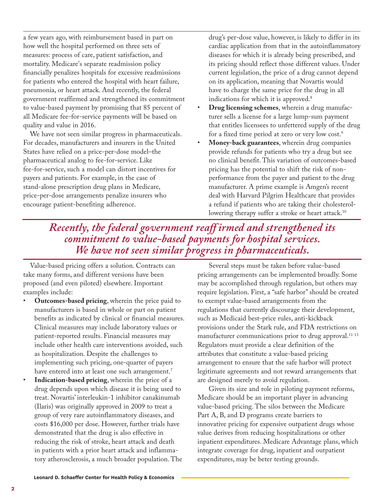a few years ago, with reimbursement based in part on how well the hospital performed on three sets of measures: process of care, patient satisfaction, and mortality. Medicare's separate readmission policy financially penalizes hospitals for excessive readmissions for patients who entered the hospital with heart failure, pneumonia, or heart attack. And recently, the federal government reaffirmed and strengthened its commitment to value-based payment by promising that 85 percent of all Medicare fee-for-service payments will be based on quality and value in 2016.

We have not seen similar progress in pharmaceuticals. For decades, manufacturers and insurers in the United States have relied on a price-per-dose model–the pharmaceutical analog to fee-for-service. Like fee-for-service, such a model can distort incentives for payers and patients. For example, in the case of stand-alone prescription drug plans in Medicare, price-per-dose arrangements penalize insurers who encourage patient-benefiting adherence.

drug's per-dose value, however, is likely to differ in its cardiac application from that in the autoinflammatory diseases for which it is already being prescribed, and its pricing should reflect those different values. Under current legislation, the price of a drug cannot depend on its application, meaning that Novartis would have to charge the same price for the drug in all indications for which it is approved.<sup>8</sup>

- **Drug licensing schemes**, wherein a drug manufacturer sells a license for a large lump-sum payment that entitles licensees to unfettered supply of the drug for a fixed time period at zero or very low cost.<sup>9</sup>
- **Money-back guarantees**, wherein drug companies provide refunds for patients who try a drug but see no clinical benefit. This variation of outcomes-based pricing has the potential to shift the risk of nonperformance from the payer and patient to the drug manufacturer. A prime example is Amgen's recent deal with Harvard Pilgrim Healthcare that provides a refund if patients who are taking their cholesterollowering therapy suffer a stroke or heart attack.<sup>10</sup>

### *Recently, the federal government reaff irmed and strengthened its commitment to value-based payments for hospital services. We have not seen similar progress in pharmaceuticals.*

Value-based pricing offers a solution. Contracts can take many forms, and different versions have been proposed (and even piloted) elsewhere. Important examples include:

- **Outcomes-based pricing**, wherein the price paid to manufacturers is based in whole or part on patient benefits as indicated by clinical or financial measures. Clinical measures may include laboratory values or patient-reported results. Financial measures may include other health care interventions avoided, such as hospitalization. Despite the challenges to implementing such pricing, one-quarter of payers have entered into at least one such arrangement.<sup>7</sup>
- **Indication-based pricing**, wherein the price of a drug depends upon which disease it is being used to treat. Novartis' interleukin-1 inhibitor canakinumab (Ilaris) was originally approved in 2009 to treat a group of very rare autoinflammatory diseases, and costs \$16,000 per dose. However, further trials have demonstrated that the drug is also effective in reducing the risk of stroke, heart attack and death in patients with a prior heart attack and inflammatory atherosclerosis, a much broader population. The

Several steps must be taken before value-based pricing arrangements can be implemented broadly. Some may be accomplished through regulation, but others may require legislation. First, a "safe harbor" should be created to exempt value-based arrangements from the regulations that currently discourage their development, such as Medicaid best-price rules, anti-kickback provisions under the Stark rule, and FDA restrictions on manufacturer communications prior to drug approval.<sup>11-13</sup> Regulators must provide a clear definition of the attributes that constitute a value-based pricing arrangement to ensure that the safe harbor will protect legitimate agreements and not reward arrangements that are designed merely to avoid regulation.

Given its size and role in piloting payment reforms, Medicare should be an important player in advancing value-based pricing. The silos between the Medicare Part A, B, and D programs create barriers to innovative pricing for expensive outpatient drugs whose value derives from reducing hospitalizations or other inpatient expenditures. Medicare Advantage plans, which integrate coverage for drug, inpatient and outpatient expenditures, may be beter testing grounds.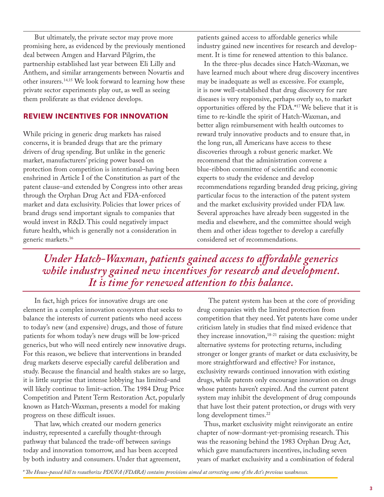But ultimately, the private sector may prove more promising here, as evidenced by the previously mentioned deal between Amgen and Harvard Pilgrim, the partnership established last year between Eli Lilly and Anthem, and similar arrangements between Novartis and other insurers.14,15 We look forward to learning how these private sector experiments play out, as well as seeing them proliferate as that evidence develops.

#### **REVIEW INCENTIVES FOR INNOVATION**

While pricing in generic drug markets has raised concerns, it is branded drugs that are the primary drivers of drug spending. But unlike in the generic market, manufacturers' pricing power based on protection from competition is intentional–having been enshrined in Article I of the Constitution as part of the patent clause–and extended by Congress into other areas through the Orphan Drug Act and FDA-enforced market and data exclusivity. Policies that lower prices of brand drugs send important signals to companies that would invest in R&D. This could negatively impact future health, which is generally not a consideration in generic markets.16

patients gained access to affordable generics while industry gained new incentives for research and development. It is time for renewed attention to this balance.

In the three-plus decades since Hatch-Waxman, we have learned much about where drug discovery incentives may be inadequate as well as excessive. For example, it is now well-established that drug discovery for rare diseases is very responsive, perhaps overly so, to market opportunities offered by the FDA.\*17 We believe that it is time to re-kindle the spirit of Hatch-Waxman, and better align reimbursement with health outcomes to reward truly innovative products and to ensure that, in the long run, all Americans have access to these discoveries through a robust generic market. We recommend that the administration convene a blue-ribbon committee of scientific and economic experts to study the evidence and develop recommendations regarding branded drug pricing, giving particular focus to the interaction of the patent system and the market exclusivity provided under FDA law. Several approaches have already been suggested in the media and elsewhere, and the committee should weigh them and other ideas together to develop a carefully considered set of recommendations.

*Under Hatch-Waxman, patients gained access to affordable generics while industry gained new incentives for research and development. It is time for renewed attention to this balance.* 

In fact, high prices for innovative drugs are one element in a complex innovation ecosystem that seeks to balance the interests of current patients who need access to today's new (and expensive) drugs, and those of future patients for whom today's new drugs will be low-priced generics, but who will need entirely new innovative drugs. For this reason, we believe that interventions in branded drug markets deserve especially careful deliberation and study. Because the financial and health stakes are so large, it is little surprise that intense lobbying has limited–and will likely continue to limit–action. The 1984 Drug Price Competition and Patent Term Restoration Act, popularly known as Hatch-Waxman, presents a model for making progress on these difficult issues.

That law, which created our modern generics industry, represented a carefully thought-through pathway that balanced the trade-off between savings today and innovation tomorrow, and has been accepted by both industry and consumers. Under that agreement,

The patent system has been at the core of providing drug companies with the limited protection from competition that they need. Yet patents have come under criticism lately in studies that find mixed evidence that they increase innovation, $18-21$  raising the question: might alternative systems for protecting returns, including stronger or longer grants of market or data exclusivity, be more straightforward and effective? For instance, exclusivity rewards continued innovation with existing drugs, while patents only encourage innovation on drugs whose patents haven't expired. And the current patent system may inhibit the development of drug compounds that have lost their patent protection, or drugs with very long development times.<sup>22</sup>

Thus, market exclusivity might reinvigorate an entire chapter of now-dormant-yet-promising research. This was the reasoning behind the 1983 Orphan Drug Act, which gave manufacturers incentives, including seven years of market exclusivity and a combination of federal

*\* The House-passed bill to reauthorize PDUFA (FDARA) contains provisions aimed at correcting some of the Act's previous weaknesses.*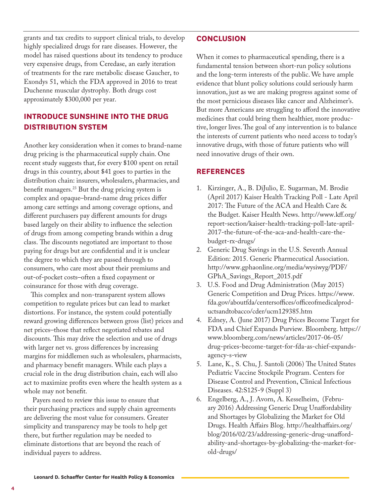grants and tax credits to support clinical trials, to develop highly specialized drugs for rare diseases. However, the model has raised questions about its tendency to produce very expensive drugs, from Ceredase, an early iteration of treatments for the rare metabolic disease Gaucher, to Exondys 51, which the FDA approved in 2016 to treat Duchenne muscular dystrophy. Both drugs cost approximately \$300,000 per year.

#### **INTRODUCE SUNSHINE INTO THE DRUG DISTRIBUTION SYSTEM**

Another key consideration when it comes to brand-name drug pricing is the pharmaceutical supply chain. One recent study suggests that, for every \$100 spent on retail drugs in this country, about \$41 goes to parties in the distribution chain: insurers, wholesalers, pharmacies, and benefit managers.23 But the drug pricing system is complex and opaque–brand-name drug prices differ among care settings and among coverage options, and different purchasers pay different amounts for drugs based largely on their ability to influence the selection of drugs from among competing brands within a drug class. The discounts negotiated are important to those paying for drugs but are confidential and it is unclear the degree to which they are passed through to consumers, who care most about their premiums and out-of-pocket costs–often a fixed copayment or coinsurance for those with drug coverage.

 This complex and non-transparent system allows competition to regulate prices but can lead to market distortions. For instance, the system could potentially reward growing differences between gross (list) prices and net prices–those that reflect negotiated rebates and discounts. This may drive the selection and use of drugs with larger net vs. gross differences by increasing margins for middlemen such as wholesalers, pharmacists, and pharmacy benefit managers. While each plays a crucial role in the drug distribution chain, each will also act to maximize profits even where the health system as a whole may not benefit.

 Payers need to review this issue to ensure that their purchasing practices and supply chain agreements are delivering the most value for consumers. Greater simplicity and transparency may be tools to help get there, but further regulation may be needed to eliminate distortions that are beyond the reach of individual payers to address.

#### **CONCLUSION**

When it comes to pharmaceutical spending, there is a fundamental tension between short-run policy solutions and the long-term interests of the public. We have ample evidence that blunt policy solutions could seriously harm innovation, just as we are making progress against some of the most pernicious diseases like cancer and Alzheimer's. But more Americans are struggling to afford the innovative medicines that could bring them healthier, more productive, longer lives. The goal of any intervention is to balance the interests of current patients who need access to today's innovative drugs, with those of future patients who will need innovative drugs of their own.

#### **REFERENCES**

- 1. Kirzinger, A., B. DiJulio, E. Sugarman, M. Brodie (April 2017) Kaiser Health Tracking Poll - Late April 2017: The Future of the ACA and Health Care & the Budget. Kaiser Health News. http://www.kff.org/ report-section/kaiser-health-tracking-poll-late-april-2017-the-future-of-the-aca-and-health-care-thebudget-rx-drugs/
- 2. Generic Drug Savings in the U.S. Seventh Annual Edition: 2015. Generic Pharmecutical Association. http://www.gphaonline.org/media/wysiwyg/PDF/ GPhA\_Savings\_Report\_2015.pdf
- 3. U.S. Food and Drug Administration (May 2015) Generic Competition and Drug Prices. https://www. fda.gov/aboutfda/centersoffices/officeofmedicalproductsandtobacco/cder/ucm129385.htm
- 4. Edney, A. (June 2017) Drug Prices Become Target for FDA and Chief Expands Purview. Bloomberg. https:// www.bloomberg.com/news/articles/2017-06-05/ drug-prices-become-target-for-fda-as-chief-expandsagency-s-view
- 5. Lane, K., S. Chu, J. Santoli (2006) The United States Pediatric Vaccine Stockpile Program. Centers for Disease Control and Prevention, Clinical Infectious Diseases. 42:S125-9 (Suppl 3)
- 6. Engelberg, A., J. Avorn, A. Kesselheim, (February 2016) Addressing Generic Drug Unaffordability and Shortages by Globalizing the Market for Old Drugs. Health Affairs Blog. http://healthaffairs.org/ blog/2016/02/23/addressing-generic-drug-unaffordability-and-shortages-by-globalizing-the-market-forold-drugs/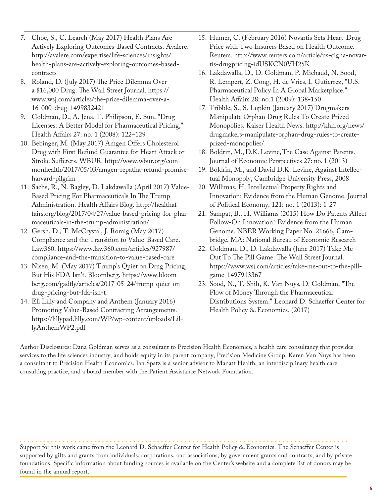- 7. Choe, S., C. Learch (May 2017) Health Plans Are Actively Exploring Outcomes-Based Contracts. Avalere. http://avalere.com/expertise/life-sciences/insights/ health-plans-are-actively-exploring-outcomes-basedcontracts
- 8. Roland, D. (July 2017) The Price Dilemma Over a \$16,000 Drug. The Wall Street Journal. https:// www.wsj.com/articles/the-price-dilemma-over-a-16-000-drug-1499832421
- 9. Goldman, D., A. Jena, T. Philipson, E. Sun, "Drug Licenses: A Better Model for Pharmaceutical Pricing," Health Affairs 27: no. 1 (2008): 122–129
- 10. Bebinger, M. (May 2017) Amgen Offers Cholesterol Drug with First Refund Guarantee for Heart Attack or Stroke Sufferers. WBUR. http://www.wbur.org/commonhealth/2017/05/03/amgen-repatha-refund-promiseharvard-pilgrim
- 11. Sachs, R., N. Bagley, D. Lakdawalla (April 2017) Value-Based Pricing For Pharmaceuticals In The Trump Administration. Health Affairs Blog. http://healthaffairs.org/blog/2017/04/27/value-based-pricing-for-pharmaceuticals-in-the-trump-administration/
- 12. Gersh, D., T. McCrystal, J. Romig (May 2017) Compliance and the Transition to Value-Based Care. Law360. https://www.law360.com/articles/927987/ compliance-and-the-transition-to-value-based-care
- 13. Nisen, M. (May 2017) Trump's Quiet on Drug Pricing, But His FDA Isn't. Bloomberg. https://www.bloomberg.com/gadfly/articles/2017-05-24/trump-quiet-ondrug-pricing-but-fda-isn-t
- 14. Eli Lilly and Company and Anthem (January 2016) Promoting Value-Based Contracting Arrangements. https://lillypad.lilly.com/WP/wp-content/uploads/LillyAnthemWP2.pdf
- 15. Humer, C. (February 2016) Novartis Sets Heart-Drug Price with Two Insurers Based on Health Outcome. Reuters. http://www.reuters.com/article/us-cigna-novartis-drugpricing-idUSKCN0VH25K
- 16. Lakdawalla, D., D. Goldman, P. Michaud, N. Sood, R. Lempert, Z. Cong, H. de Vries, I. Gutierrez, "U.S. Pharmaceutical Policy In A Global Marketplace." Health Affairs 28: no.1 (2009): 138-150
- 17. Tribble, S., S. Lupkin (January 2017) Drugmakers Manipulate Orphan Drug Rules To Create Prized Monopolies. Kaiser Health News. http://khn.org/news/ drugmakers-manipulate-orphan-drug-rules-to-createprized-monopolies/
- 18. Boldrin, M., D.K. Levine, The Case Against Patents. Journal of Economic Perspectives 27: no. 1 (2013)
- 19. Boldrin, M., and David D.K. Levine, Against Intellectual Monopoly, Cambridge University Press, 2008
- 20. Willimas, H. Intellectual Property Rights and Innovation: Evidence from the Human Genome. Journal of Political Economy, 121: no. 1 (2013): 1-27
- 21. Sampat, B., H. Williams (2015) How Do Patents Affect Follow-On Innovation? Evidence from the Human Genome. NBER Working Paper No. 21666, Cambridge, MA: National Bureau of Economic Research
- 22. Goldman, D., D. Lakdawalla (June 2017) Take Me Out To The Pill Game. The Wall Street Journal. https://www.wsj.com/articles/take-me-out-to-the-pillgame-1497913367
- 23. Sood, N., T. Shih, K. Van Nuys, D. Goldman, "The Flow of Money Through the Pharmaceutical Distributions System." Leonard D. Schaeffer Center for Health Policy & Economics. (2017)

Author Disclosures: Dana Goldman serves as a consultant to Precision Health Economics, a health care consultancy that provides services to the life sciences industry, and holds equity in its parent company, Precision Medicine Group. Karen Van Nuys has been a consultant to Precision Health Economics. Ian Spatz is a senior advisor to Manatt Health, an interdisciplinary health care consulting practice, and a board member with the Patient Assistance Network Foundation.

Support for this work came from the Leonard D. Schaeffer Center for Health Policy & Economics. The Schaeffer Center is supported by gifts and grants from individuals, corporations, and associations; by government grants and contracts; and by private foundations. Specific information about funding sources is available on the Center's website and a complete list of donors may be found in the annual report.